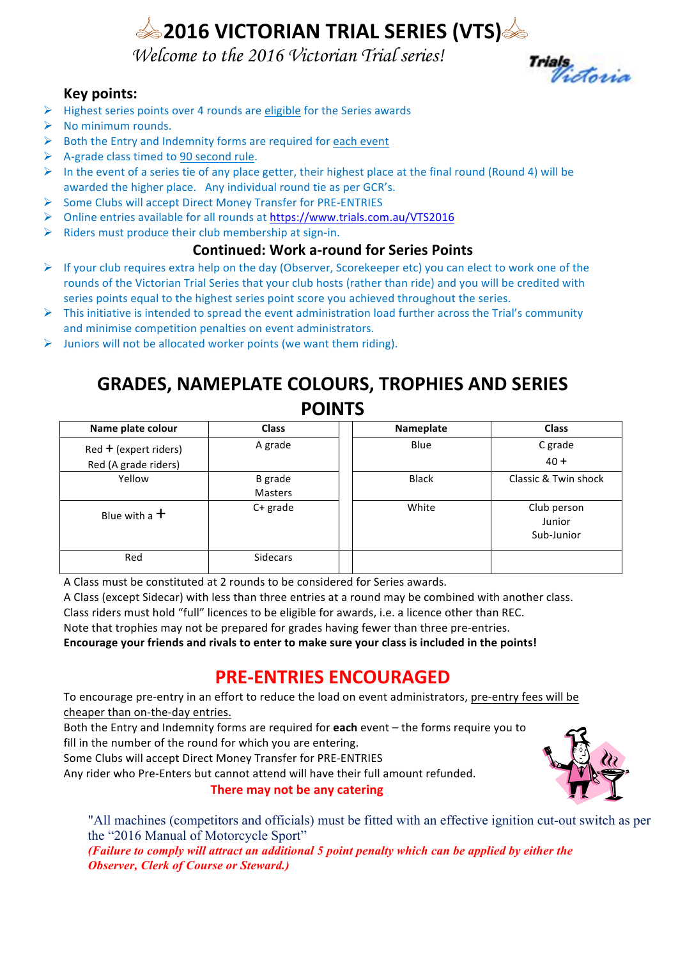# **2016 VICTORIAN TRIAL SERIES (VTS)**

 *Welcome to the 2016 Victorian Trial series!*

## **Key points:**

- $\triangleright$  Highest series points over 4 rounds are eligible for the Series awards
- $\triangleright$  No minimum rounds.
- $\triangleright$  Both the Entry and Indemnity forms are required for each event
- $\triangleright$  A-grade class timed to 90 second rule.
- $\triangleright$  In the event of a series tie of any place getter, their highest place at the final round (Round 4) will be awarded the higher place. Any individual round tie as per GCR's.
- $\triangleright$  Some Clubs will accept Direct Money Transfer for PRE-ENTRIES
- ▶ Online entries available for all rounds at https://www.trials.com.au/VTS2016
- $\triangleright$  Riders must produce their club membership at sign-in.

#### **Continued: Work a-round for Series Points**

- $\triangleright$  If your club requires extra help on the day (Observer, Scorekeeper etc) you can elect to work one of the rounds of the Victorian Trial Series that your club hosts (rather than ride) and you will be credited with series points equal to the highest series point score you achieved throughout the series.
- $\triangleright$  This initiative is intended to spread the event administration load further across the Trial's community and minimise competition penalties on event administrators.
- $\triangleright$  Juniors will not be allocated worker points (we want them riding).

# **GRADES, NAMEPLATE COLOURS, TROPHIES AND SERIES POINTS**

| Name plate colour       | <b>Class</b>              | Nameplate    | <b>Class</b>                        |
|-------------------------|---------------------------|--------------|-------------------------------------|
| $Red + (expert$ riders) | A grade                   | Blue         | C grade                             |
| Red (A grade riders)    |                           |              | $40 +$                              |
| Yellow                  | <b>B</b> grade<br>Masters | <b>Black</b> | Classic & Twin shock                |
| Blue with a $+$         | $C+$ grade                | White        | Club person<br>Junior<br>Sub-Junior |
| Red                     | <b>Sidecars</b>           |              |                                     |

A Class must be constituted at 2 rounds to be considered for Series awards.

A Class (except Sidecar) with less than three entries at a round may be combined with another class.

Class riders must hold "full" licences to be eligible for awards, i.e. a licence other than REC.

Note that trophies may not be prepared for grades having fewer than three pre-entries.

Encourage your friends and rivals to enter to make sure your class is included in the points!

# **PRE-ENTRIES ENCOURAGED**

To encourage pre-entry in an effort to reduce the load on event administrators, pre-entry fees will be cheaper than on-the-day entries.

Both the Entry and Indemnity forms are required for **each** event – the forms require you to fill in the number of the round for which you are entering.

Some Clubs will accept Direct Money Transfer for PRE-ENTRIES

Any rider who Pre-Enters but cannot attend will have their full amount refunded.

**There may not be any catering** 



Trials<br>Victoria

"All machines (competitors and officials) must be fitted with an effective ignition cut-out switch as per the "2016 Manual of Motorcycle Sport" *(Failure to comply will attract an additional 5 point penalty which can be applied by either the Observer, Clerk of Course or Steward.)*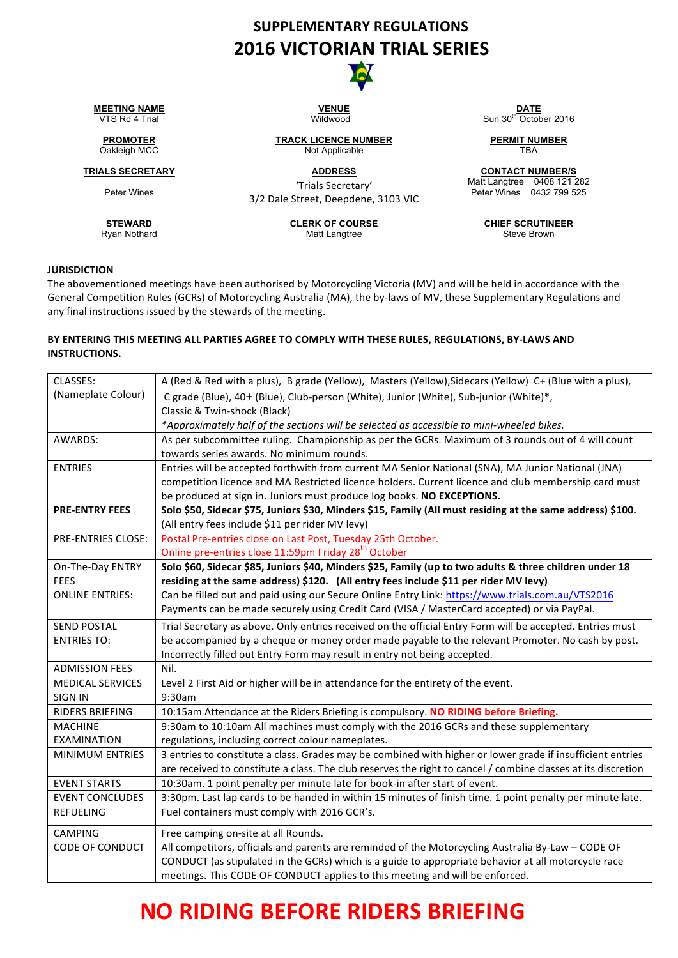# **SUPPLEMENTARY REGULATIONS 2016 VICTORIAN TRIAL SERIES**



**MEETING NAME DATE**<br> **VENUE DATE**<br> **DATE DATE**<br> **VIIdwood DATE DATE DATE DATE** 

Peter Wines

Ryan Nothard

**STEWARD**<br> **CLERK OF COURSE CHIEF SCRUTINEER**<br>
Matt Langtree **CHIEF SCRUTINEER**<br>
Matt Langtree **CHIEF SCRUTINEER** 

Not Applicable

'Trials Secretary' 3/2 Dale Street, Deepdene, 3103 VIC Sun  $30^{th}$  October 2016

**PROMOTER TRACK LICENCE NUMBER**<br> **Oakleigh MCC Not Applicable PERMIT NUMBER**<br> **TBA** 

**TRIALS SECRETARY ADDRESS CONTACT NUMBER/S** Matt Langtree 0408 121 282 Peter Wines 0432 799 525

#### **JURISDICTION**

The abovementioned meetings have been authorised by Motorcycling Victoria (MV) and will be held in accordance with the General Competition Rules (GCRs) of Motorcycling Australia (MA), the by-laws of MV, these Supplementary Regulations and any final instructions issued by the stewards of the meeting.

#### BY ENTERING THIS MEETING ALL PARTIES AGREE TO COMPLY WITH THESE RULES, REGULATIONS, BY-LAWS AND **INSTRUCTIONS.**

| CLASSES:                | A (Red & Red with a plus), B grade (Yellow), Masters (Yellow), Sidecars (Yellow) C+ (Blue with a plus),       |
|-------------------------|---------------------------------------------------------------------------------------------------------------|
| (Nameplate Colour)      | C grade (Blue), 40+ (Blue), Club-person (White), Junior (White), Sub-junior (White)*,                         |
|                         | Classic & Twin-shock (Black)                                                                                  |
|                         | *Approximately half of the sections will be selected as accessible to mini-wheeled bikes.                     |
| AWARDS:                 | As per subcommittee ruling. Championship as per the GCRs. Maximum of 3 rounds out of 4 will count             |
|                         | towards series awards. No minimum rounds.                                                                     |
| <b>ENTRIES</b>          | Entries will be accepted forthwith from current MA Senior National (SNA), MA Junior National (JNA)            |
|                         | competition licence and MA Restricted licence holders. Current licence and club membership card must          |
|                         | be produced at sign in. Juniors must produce log books. NO EXCEPTIONS.                                        |
| <b>PRE-ENTRY FEES</b>   | Solo \$50, Sidecar \$75, Juniors \$30, Minders \$15, Family (All must residing at the same address) \$100.    |
|                         | (All entry fees include \$11 per rider MV levy)                                                               |
| PRE-ENTRIES CLOSE:      | Postal Pre-entries close on Last Post, Tuesday 25th October.                                                  |
|                         | Online pre-entries close 11:59pm Friday 28 <sup>th</sup> October                                              |
| On-The-Day ENTRY        | Solo \$60, Sidecar \$85, Juniors \$40, Minders \$25, Family (up to two adults & three children under 18       |
| <b>FEES</b>             | residing at the same address) \$120. (All entry fees include \$11 per rider MV levy)                          |
| <b>ONLINE ENTRIES:</b>  | Can be filled out and paid using our Secure Online Entry Link: https://www.trials.com.au/VTS2016              |
|                         | Payments can be made securely using Credit Card (VISA / MasterCard accepted) or via PayPal.                   |
| <b>SEND POSTAL</b>      | Trial Secretary as above. Only entries received on the official Entry Form will be accepted. Entries must     |
| <b>ENTRIES TO:</b>      | be accompanied by a cheque or money order made payable to the relevant Promoter. No cash by post.             |
|                         | Incorrectly filled out Entry Form may result in entry not being accepted.                                     |
| <b>ADMISSION FEES</b>   | Nil.                                                                                                          |
| <b>MEDICAL SERVICES</b> | Level 2 First Aid or higher will be in attendance for the entirety of the event.                              |
| <b>SIGN IN</b>          | 9:30am                                                                                                        |
| <b>RIDERS BRIEFING</b>  | 10:15am Attendance at the Riders Briefing is compulsory. NO RIDING before Briefing.                           |
| <b>MACHINE</b>          | 9:30am to 10:10am All machines must comply with the 2016 GCRs and these supplementary                         |
| <b>EXAMINATION</b>      | regulations, including correct colour nameplates.                                                             |
| <b>MINIMUM ENTRIES</b>  | 3 entries to constitute a class. Grades may be combined with higher or lower grade if insufficient entries    |
|                         | are received to constitute a class. The club reserves the right to cancel / combine classes at its discretion |
| <b>EVENT STARTS</b>     | 10:30am. 1 point penalty per minute late for book-in after start of event.                                    |
| <b>EVENT CONCLUDES</b>  | 3:30pm. Last lap cards to be handed in within 15 minutes of finish time. 1 point penalty per minute late.     |
| <b>REFUELING</b>        | Fuel containers must comply with 2016 GCR's.                                                                  |
| <b>CAMPING</b>          | Free camping on-site at all Rounds.                                                                           |
| <b>CODE OF CONDUCT</b>  | All competitors, officials and parents are reminded of the Motorcycling Australia By-Law - CODE OF            |
|                         | CONDUCT (as stipulated in the GCRs) which is a guide to appropriate behavior at all motorcycle race           |
|                         | meetings. This CODE OF CONDUCT applies to this meeting and will be enforced.                                  |

# **NO RIDING BEFORE RIDERS BRIEFING**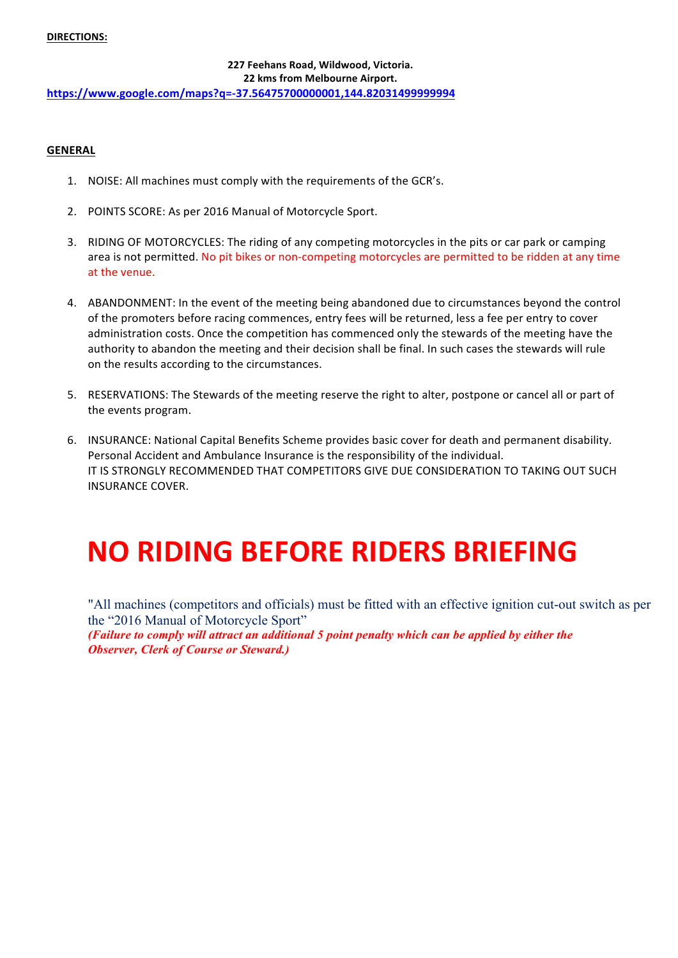#### **DIRECTIONS:**

#### **227 Feehans Road, Wildwood, Victoria. 22 kms from Melbourne Airport. https://www.google.com/maps?q=-37.56475700000001,144.82031499999994**

#### **GENERAL**

- 1. NOISE: All machines must comply with the requirements of the GCR's.
- 2. POINTS SCORE: As per 2016 Manual of Motorcycle Sport.
- 3. RIDING OF MOTORCYCLES: The riding of any competing motorcycles in the pits or car park or camping area is not permitted. No pit bikes or non-competing motorcycles are permitted to be ridden at any time at the venue.
- 4. ABANDONMENT: In the event of the meeting being abandoned due to circumstances beyond the control of the promoters before racing commences, entry fees will be returned, less a fee per entry to cover administration costs. Once the competition has commenced only the stewards of the meeting have the authority to abandon the meeting and their decision shall be final. In such cases the stewards will rule on the results according to the circumstances.
- 5. RESERVATIONS: The Stewards of the meeting reserve the right to alter, postpone or cancel all or part of the events program.
- 6. INSURANCE: National Capital Benefits Scheme provides basic cover for death and permanent disability. Personal Accident and Ambulance Insurance is the responsibility of the individual. IT IS STRONGLY RECOMMENDED THAT COMPETITORS GIVE DUE CONSIDERATION TO TAKING OUT SUCH **INSURANCE COVER.**

# **NO RIDING BEFORE RIDERS BRIEFING**

"All machines (competitors and officials) must be fitted with an effective ignition cut-out switch as per the "2016 Manual of Motorcycle Sport" *(Failure to comply will attract an additional 5 point penalty which can be applied by either the Observer, Clerk of Course or Steward.)*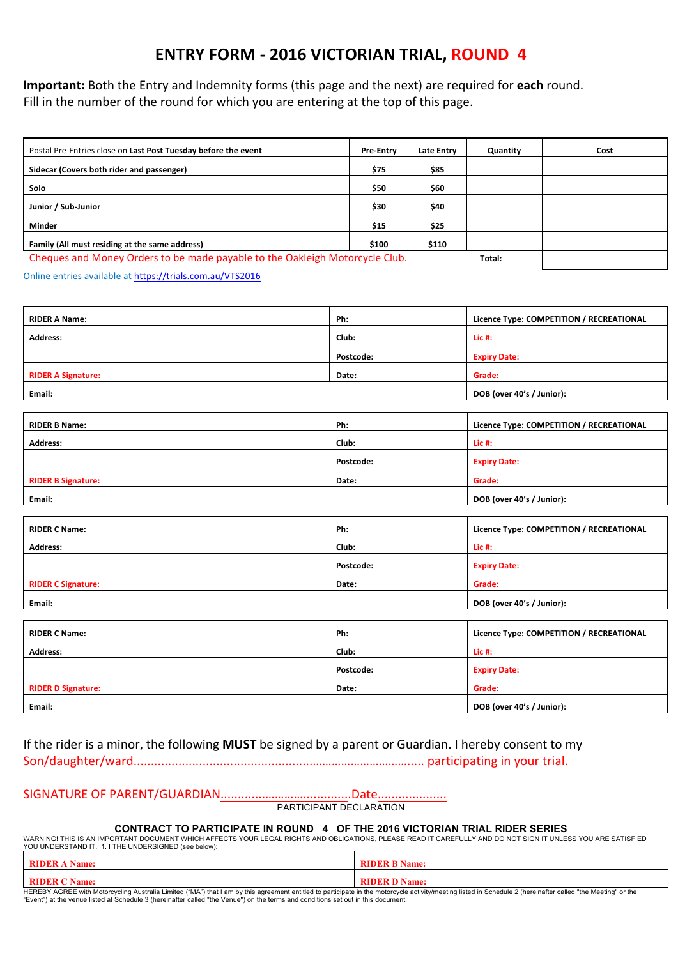## **ENTRY FORM - 2016 VICTORIAN TRIAL, ROUND 4**

**Important:** Both the Entry and Indemnity forms (this page and the next) are required for each round. Fill in the number of the round for which you are entering at the top of this page.

| Postal Pre-Entries close on Last Post Tuesday before the event                         | <b>Pre-Entry</b> | Late Entry | Quantity | Cost |
|----------------------------------------------------------------------------------------|------------------|------------|----------|------|
| Sidecar (Covers both rider and passenger)                                              | \$75             | \$85       |          |      |
| Solo                                                                                   | \$50             | \$60       |          |      |
| Junior / Sub-Junior                                                                    | \$30             | \$40       |          |      |
| <b>Minder</b>                                                                          | \$15             | \$25       |          |      |
| Family (All must residing at the same address)                                         | \$100            | \$110      |          |      |
| Cheques and Money Orders to be made payable to the Oakleigh Motorcycle Club.<br>Total: |                  |            |          |      |

Online entries available at https://trials.com.au/VTS2016

| <b>RIDER A Name:</b>      | Ph:       | Licence Type: COMPETITION / RECREATIONAL |
|---------------------------|-----------|------------------------------------------|
| <b>Address:</b>           | Club:     | Lic #:                                   |
|                           | Postcode: | <b>Expiry Date:</b>                      |
| <b>RIDER A Signature:</b> | Date:     | Grade:                                   |
| Email:                    |           | DOB (over 40's / Junior):                |
|                           |           |                                          |
| <b>RIDER B Name:</b>      | Ph:       | Licence Type: COMPETITION / RECREATIONAL |
| <b>Address:</b>           | Club:     | Lic #:                                   |
|                           | Postcode: | <b>Expiry Date:</b>                      |
| <b>RIDER B Signature:</b> | Date:     | Grade:                                   |
| Email:                    |           | DOB (over 40's / Junior):                |
|                           |           |                                          |
| <b>RIDER C Name:</b>      | Ph:       | Licence Type: COMPETITION / RECREATIONAL |
| <b>Address:</b>           | Club:     | Lic #:                                   |
|                           | Postcode: | <b>Expiry Date:</b>                      |
| <b>RIDER C Signature:</b> | Date:     | Grade:                                   |
| Email:                    |           | DOB (over 40's / Junior):                |
|                           |           |                                          |
| <b>RIDER C Name:</b>      | Ph:       | Licence Type: COMPETITION / RECREATIONAL |
| <b>Address:</b>           | Club:     | Lic #:                                   |
|                           | Postcode: | <b>Expiry Date:</b>                      |
| <b>RIDER D Signature:</b> | Date:     | Grade:                                   |
| Email:                    |           | DOB (over 40's / Junior):                |

If the rider is a minor, the following MUST be signed by a parent or Guardian. I hereby consent to my

Son/daughter/ward....................................................…………………………..... participating in your trial. 

## SIGNATURE OF PARENT/GUARDIAN.............…………..............Date....................

PARTICIPANT DECLARATION

**CONTRACT TO PARTICIPATE IN ROUND 4 OF THE 2016 VICTORIAN TRIAL RIDER SERIES**<br>WARNING! THIS IS AN IMPORTANT DOCUMENT WHICH AFFECTS YOUR LEGAL RIGHTS AND OBLIGATIONS, PLEASE READ IT CAREFULLY AND DO NOT SIGN IT UNLESS YOU A

|       | Name:        |
|-------|--------------|
| Name: | <b>Name:</b> |

HEREBY AGREE with Motorcycling Australia Limited ("MA") that I am by this agreement entitled to participate in the motorcycle activity/meeting listed in Schedule 2 (hereinafter called "the Meeting" or the "Event") at the venue listed at Schedule 3 (hereinafter called "the Venue") on the terms and conditions set out in this document.